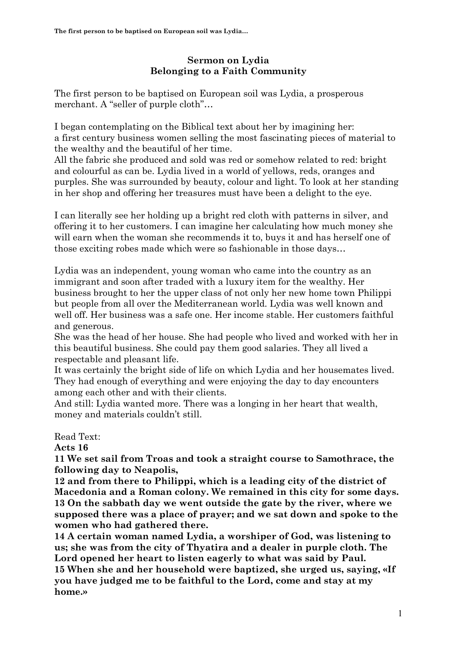## **Sermon on Lydia Belonging to a Faith Community**

The first person to be baptised on European soil was Lydia, a prosperous merchant. A "seller of purple cloth"…

I began contemplating on the Biblical text about her by imagining her: a first century business women selling the most fascinating pieces of material to the wealthy and the beautiful of her time.

All the fabric she produced and sold was red or somehow related to red: bright and colourful as can be. Lydia lived in a world of yellows, reds, oranges and purples. She was surrounded by beauty, colour and light. To look at her standing in her shop and offering her treasures must have been a delight to the eye.

I can literally see her holding up a bright red cloth with patterns in silver, and offering it to her customers. I can imagine her calculating how much money she will earn when the woman she recommends it to, buys it and has herself one of those exciting robes made which were so fashionable in those days…

Lydia was an independent, young woman who came into the country as an immigrant and soon after traded with a luxury item for the wealthy. Her business brought to her the upper class of not only her new home town Philippi but people from all over the Mediterranean world. Lydia was well known and well off. Her business was a safe one. Her income stable. Her customers faithful and generous.

She was the head of her house. She had people who lived and worked with her in this beautiful business. She could pay them good salaries. They all lived a respectable and pleasant life.

It was certainly the bright side of life on which Lydia and her housemates lived. They had enough of everything and were enjoying the day to day encounters among each other and with their clients.

And still: Lydia wanted more. There was a longing in her heart that wealth, money and materials couldn't still.

Read Text:

**Acts 16**

**11 We set sail from Troas and took a straight course to Samothrace, the following day to Neapolis,**

**12 and from there to Philippi, which is a leading city of the district of Macedonia and a Roman colony. We remained in this city for some days. 13 On the sabbath day we went outside the gate by the river, where we supposed there was a place of prayer; and we sat down and spoke to the women who had gathered there.**

**14 A certain woman named Lydia, a worshiper of God, was listening to us; she was from the city of Thyatira and a dealer in purple cloth. The Lord opened her heart to listen eagerly to what was said by Paul. 15 When she and her household were baptized, she urged us, saying, «If** 

**you have judged me to be faithful to the Lord, come and stay at my home.»**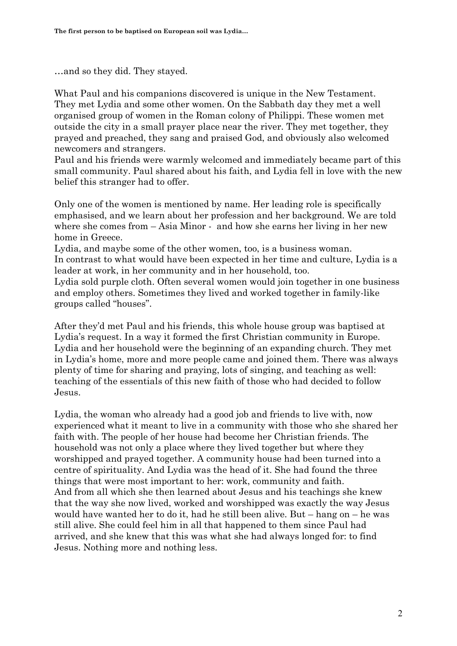…and so they did. They stayed.

What Paul and his companions discovered is unique in the New Testament. They met Lydia and some other women. On the Sabbath day they met a well organised group of women in the Roman colony of Philippi. These women met outside the city in a small prayer place near the river. They met together, they prayed and preached, they sang and praised God, and obviously also welcomed newcomers and strangers.

Paul and his friends were warmly welcomed and immediately became part of this small community. Paul shared about his faith, and Lydia fell in love with the new belief this stranger had to offer.

Only one of the women is mentioned by name. Her leading role is specifically emphasised, and we learn about her profession and her background. We are told where she comes from – Asia Minor - and how she earns her living in her new home in Greece.

Lydia, and maybe some of the other women, too, is a business woman. In contrast to what would have been expected in her time and culture, Lydia is a leader at work, in her community and in her household, too.

Lydia sold purple cloth. Often several women would join together in one business and employ others. Sometimes they lived and worked together in family-like groups called "houses".

After they'd met Paul and his friends, this whole house group was baptised at Lydia's request. In a way it formed the first Christian community in Europe. Lydia and her household were the beginning of an expanding church. They met in Lydia's home, more and more people came and joined them. There was always plenty of time for sharing and praying, lots of singing, and teaching as well: teaching of the essentials of this new faith of those who had decided to follow Jesus.

Lydia, the woman who already had a good job and friends to live with, now experienced what it meant to live in a community with those who she shared her faith with. The people of her house had become her Christian friends. The household was not only a place where they lived together but where they worshipped and prayed together. A community house had been turned into a centre of spirituality. And Lydia was the head of it. She had found the three things that were most important to her: work, community and faith. And from all which she then learned about Jesus and his teachings she knew that the way she now lived, worked and worshipped was exactly the way Jesus would have wanted her to do it, had he still been alive. But – hang on – he was still alive. She could feel him in all that happened to them since Paul had arrived, and she knew that this was what she had always longed for: to find Jesus. Nothing more and nothing less.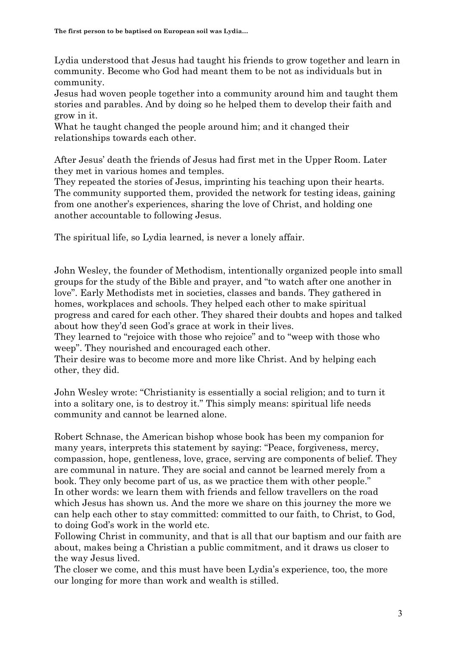Lydia understood that Jesus had taught his friends to grow together and learn in community. Become who God had meant them to be not as individuals but in community.

Jesus had woven people together into a community around him and taught them stories and parables. And by doing so he helped them to develop their faith and grow in it.

What he taught changed the people around him; and it changed their relationships towards each other.

After Jesus' death the friends of Jesus had first met in the Upper Room. Later they met in various homes and temples.

They repeated the stories of Jesus, imprinting his teaching upon their hearts. The community supported them, provided the network for testing ideas, gaining from one another's experiences, sharing the love of Christ, and holding one another accountable to following Jesus.

The spiritual life, so Lydia learned, is never a lonely affair.

John Wesley, the founder of Methodism, intentionally organized people into small groups for the study of the Bible and prayer, and "to watch after one another in love". Early Methodists met in societies, classes and bands. They gathered in homes, workplaces and schools. They helped each other to make spiritual progress and cared for each other. They shared their doubts and hopes and talked about how they'd seen God's grace at work in their lives.

They learned to "rejoice with those who rejoice" and to "weep with those who weep". They nourished and encouraged each other.

Their desire was to become more and more like Christ. And by helping each other, they did.

John Wesley wrote: "Christianity is essentially a social religion; and to turn it into a solitary one, is to destroy it." This simply means: spiritual life needs community and cannot be learned alone.

Robert Schnase, the American bishop whose book has been my companion for many years, interprets this statement by saying: "Peace, forgiveness, mercy, compassion, hope, gentleness, love, grace, serving are components of belief. They are communal in nature. They are social and cannot be learned merely from a book. They only become part of us, as we practice them with other people." In other words: we learn them with friends and fellow travellers on the road which Jesus has shown us. And the more we share on this journey the more we can help each other to stay committed: committed to our faith, to Christ, to God, to doing God's work in the world etc.

Following Christ in community, and that is all that our baptism and our faith are about, makes being a Christian a public commitment, and it draws us closer to the way Jesus lived.

The closer we come, and this must have been Lydia's experience, too, the more our longing for more than work and wealth is stilled.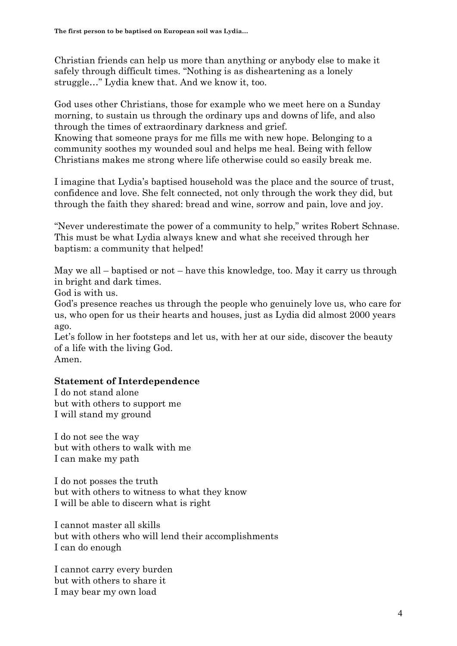Christian friends can help us more than anything or anybody else to make it safely through difficult times. "Nothing is as disheartening as a lonely struggle…" Lydia knew that. And we know it, too.

God uses other Christians, those for example who we meet here on a Sunday morning, to sustain us through the ordinary ups and downs of life, and also through the times of extraordinary darkness and grief. Knowing that someone prays for me fills me with new hope. Belonging to a community soothes my wounded soul and helps me heal. Being with fellow Christians makes me strong where life otherwise could so easily break me.

I imagine that Lydia's baptised household was the place and the source of trust, confidence and love. She felt connected, not only through the work they did, but through the faith they shared: bread and wine, sorrow and pain, love and joy.

"Never underestimate the power of a community to help," writes Robert Schnase. This must be what Lydia always knew and what she received through her baptism: a community that helped!

May we all – baptised or not – have this knowledge, too. May it carry us through in bright and dark times.

God is with us.

God's presence reaches us through the people who genuinely love us, who care for us, who open for us their hearts and houses, just as Lydia did almost 2000 years ago.

Let's follow in her footsteps and let us, with her at our side, discover the beauty of a life with the living God.

Amen.

## **Statement of Interdependence**

I do not stand alone but with others to support me I will stand my ground

I do not see the way but with others to walk with me I can make my path

I do not posses the truth but with others to witness to what they know I will be able to discern what is right

I cannot master all skills but with others who will lend their accomplishments I can do enough

I cannot carry every burden but with others to share it I may bear my own load